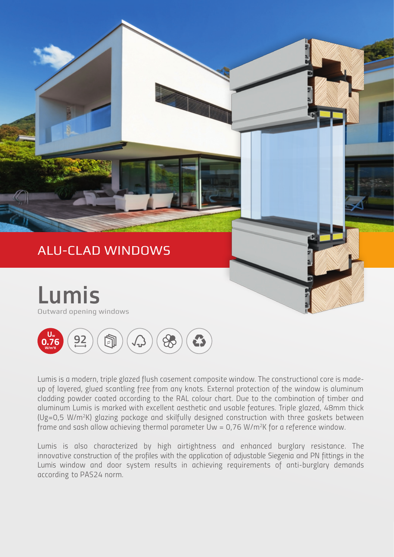

*Lumis is a modern, triple glazed flush casement composite window. The constructional core is madeup of layered, glued scantling free from any knots. External protection of the window is aluminum cladding powder coated according to the RAL colour chart. Due to the combination of timber and aluminum Lumis is marked with excellent aesthetic and usable features. Triple glazed, 48mm thick (Ug=0,5 W/m<sup>2</sup>K) glazing package and skilfully designed construction with three gaskets between frame and sash allow achieving thermal parameter Uw = 0,76 W/m<sup>2</sup>K for a reference window.*

*Lumis is also characterized by high airtightness and enhanced burglary resistance. The*  innovative construction of the profiles with the application of adjustable Siegenia and PN fittings in the *Lumis window and door system results in achieving requirements of anti-burglary demands according to PAS24 norm.*